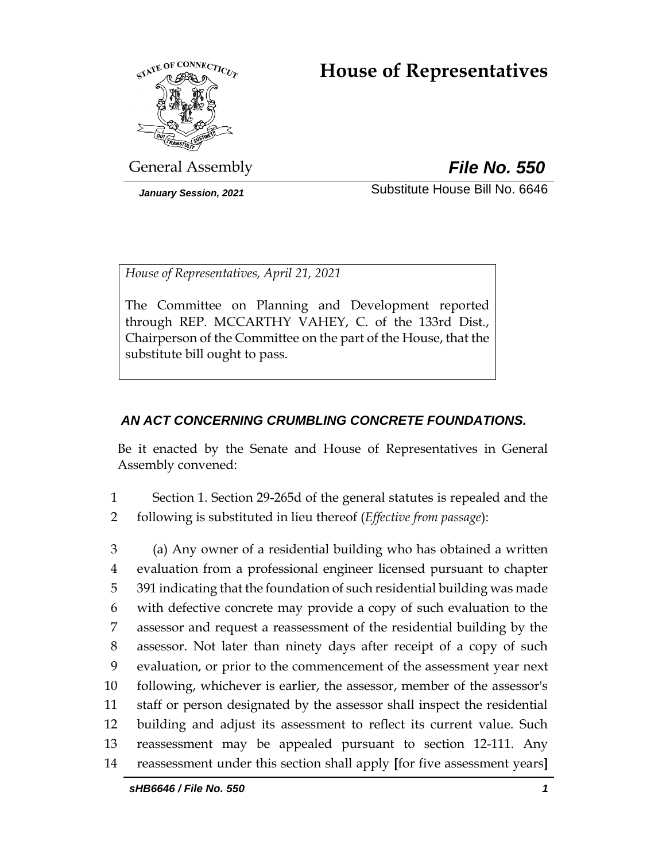# **House of Representatives**



General Assembly *File No. 550*

*January Session, 2021* Substitute House Bill No. 6646

*House of Representatives, April 21, 2021*

The Committee on Planning and Development reported through REP. MCCARTHY VAHEY, C. of the 133rd Dist., Chairperson of the Committee on the part of the House, that the substitute bill ought to pass.

## *AN ACT CONCERNING CRUMBLING CONCRETE FOUNDATIONS.*

Be it enacted by the Senate and House of Representatives in General Assembly convened:

1 Section 1. Section 29-265d of the general statutes is repealed and the 2 following is substituted in lieu thereof (*Effective from passage*):

 (a) Any owner of a residential building who has obtained a written evaluation from a professional engineer licensed pursuant to chapter 391 indicating that the foundation of such residential building was made with defective concrete may provide a copy of such evaluation to the assessor and request a reassessment of the residential building by the assessor. Not later than ninety days after receipt of a copy of such evaluation, or prior to the commencement of the assessment year next following, whichever is earlier, the assessor, member of the assessor's staff or person designated by the assessor shall inspect the residential building and adjust its assessment to reflect its current value. Such reassessment may be appealed pursuant to section 12-111. Any reassessment under this section shall apply **[**for five assessment years**]**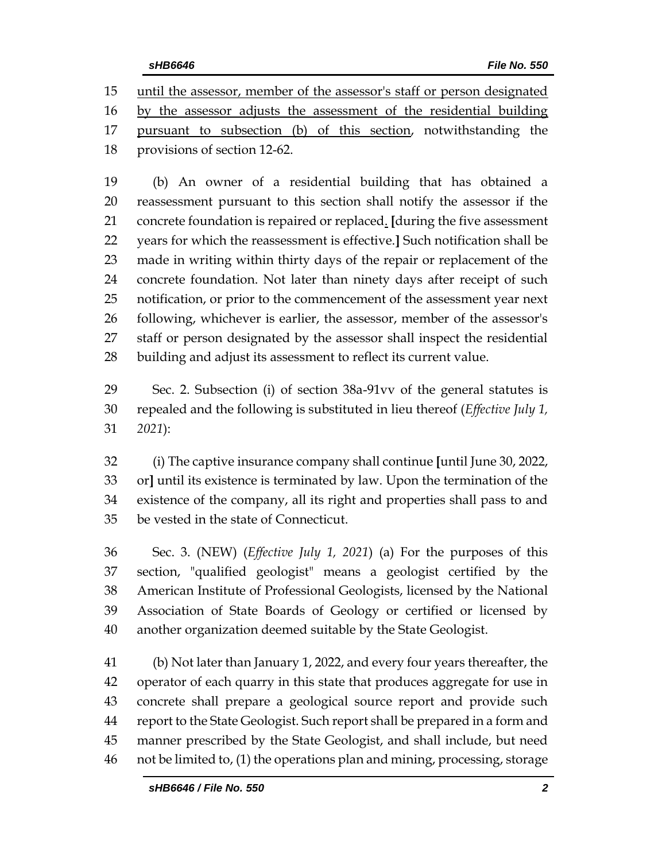until the assessor, member of the assessor's staff or person designated

by the assessor adjusts the assessment of the residential building

 pursuant to subsection (b) of this section, notwithstanding the provisions of section 12-62.

 (b) An owner of a residential building that has obtained a reassessment pursuant to this section shall notify the assessor if the concrete foundation is repaired or replaced. **[**during the five assessment years for which the reassessment is effective.**]** Such notification shall be made in writing within thirty days of the repair or replacement of the concrete foundation. Not later than ninety days after receipt of such notification, or prior to the commencement of the assessment year next following, whichever is earlier, the assessor, member of the assessor's staff or person designated by the assessor shall inspect the residential building and adjust its assessment to reflect its current value.

 Sec. 2. Subsection (i) of section 38a-91vv of the general statutes is repealed and the following is substituted in lieu thereof (*Effective July 1, 2021*):

 (i) The captive insurance company shall continue **[**until June 30, 2022, or**]** until its existence is terminated by law. Upon the termination of the existence of the company, all its right and properties shall pass to and be vested in the state of Connecticut.

 Sec. 3. (NEW) (*Effective July 1, 2021*) (a) For the purposes of this section, "qualified geologist" means a geologist certified by the American Institute of Professional Geologists, licensed by the National Association of State Boards of Geology or certified or licensed by another organization deemed suitable by the State Geologist.

 (b) Not later than January 1, 2022, and every four years thereafter, the operator of each quarry in this state that produces aggregate for use in concrete shall prepare a geological source report and provide such report to the State Geologist. Such report shall be prepared in a form and manner prescribed by the State Geologist, and shall include, but need not be limited to, (1) the operations plan and mining, processing, storage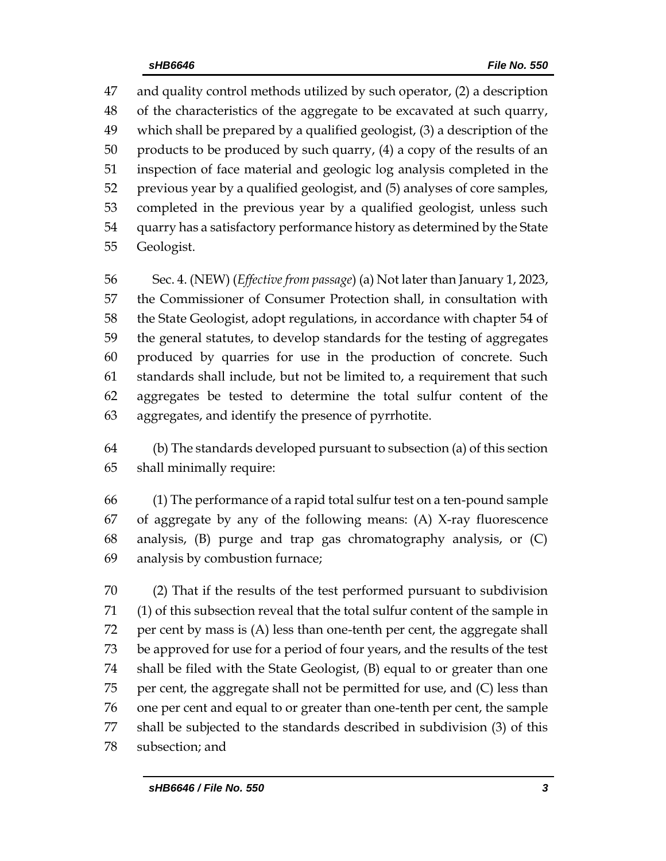and quality control methods utilized by such operator, (2) a description of the characteristics of the aggregate to be excavated at such quarry, which shall be prepared by a qualified geologist, (3) a description of the products to be produced by such quarry, (4) a copy of the results of an inspection of face material and geologic log analysis completed in the previous year by a qualified geologist, and (5) analyses of core samples, completed in the previous year by a qualified geologist, unless such quarry has a satisfactory performance history as determined by the State Geologist.

 Sec. 4. (NEW) (*Effective from passage*) (a) Not later than January 1, 2023, the Commissioner of Consumer Protection shall, in consultation with the State Geologist, adopt regulations, in accordance with chapter 54 of the general statutes, to develop standards for the testing of aggregates produced by quarries for use in the production of concrete. Such standards shall include, but not be limited to, a requirement that such aggregates be tested to determine the total sulfur content of the aggregates, and identify the presence of pyrrhotite.

 (b) The standards developed pursuant to subsection (a) of this section shall minimally require:

 (1) The performance of a rapid total sulfur test on a ten-pound sample of aggregate by any of the following means: (A) X-ray fluorescence analysis, (B) purge and trap gas chromatography analysis, or (C) analysis by combustion furnace;

 (2) That if the results of the test performed pursuant to subdivision (1) of this subsection reveal that the total sulfur content of the sample in per cent by mass is (A) less than one-tenth per cent, the aggregate shall be approved for use for a period of four years, and the results of the test shall be filed with the State Geologist, (B) equal to or greater than one per cent, the aggregate shall not be permitted for use, and (C) less than one per cent and equal to or greater than one-tenth per cent, the sample shall be subjected to the standards described in subdivision (3) of this subsection; and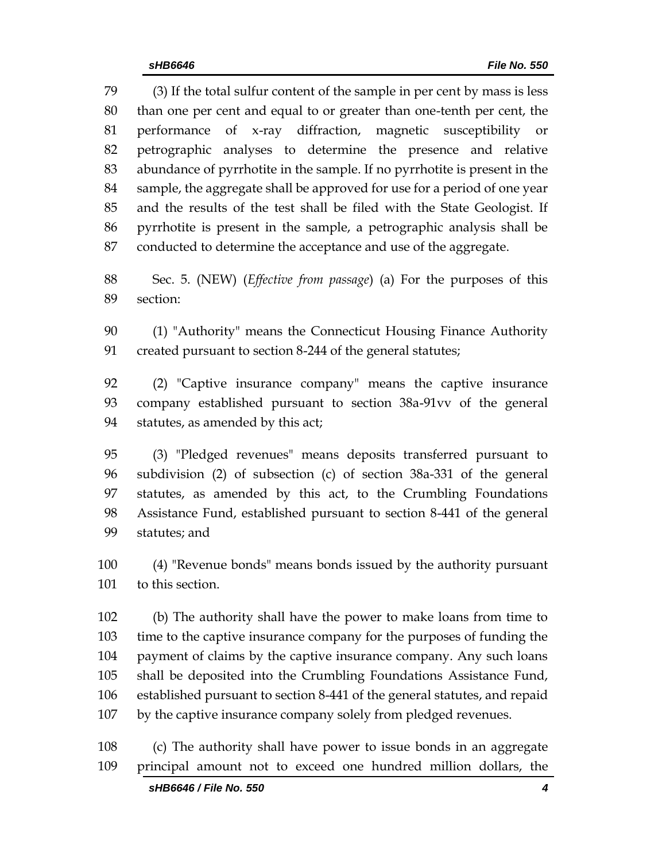(3) If the total sulfur content of the sample in per cent by mass is less than one per cent and equal to or greater than one-tenth per cent, the performance of x-ray diffraction, magnetic susceptibility or petrographic analyses to determine the presence and relative abundance of pyrrhotite in the sample. If no pyrrhotite is present in the sample, the aggregate shall be approved for use for a period of one year and the results of the test shall be filed with the State Geologist. If pyrrhotite is present in the sample, a petrographic analysis shall be conducted to determine the acceptance and use of the aggregate.

 Sec. 5. (NEW) (*Effective from passage*) (a) For the purposes of this section:

 (1) "Authority" means the Connecticut Housing Finance Authority created pursuant to section 8-244 of the general statutes;

 (2) "Captive insurance company" means the captive insurance company established pursuant to section 38a-91vv of the general statutes, as amended by this act;

 (3) "Pledged revenues" means deposits transferred pursuant to subdivision (2) of subsection (c) of section 38a-331 of the general statutes, as amended by this act, to the Crumbling Foundations Assistance Fund, established pursuant to section 8-441 of the general statutes; and

 (4) "Revenue bonds" means bonds issued by the authority pursuant to this section.

 (b) The authority shall have the power to make loans from time to time to the captive insurance company for the purposes of funding the payment of claims by the captive insurance company. Any such loans shall be deposited into the Crumbling Foundations Assistance Fund, established pursuant to section 8-441 of the general statutes, and repaid by the captive insurance company solely from pledged revenues.

 (c) The authority shall have power to issue bonds in an aggregate principal amount not to exceed one hundred million dollars, the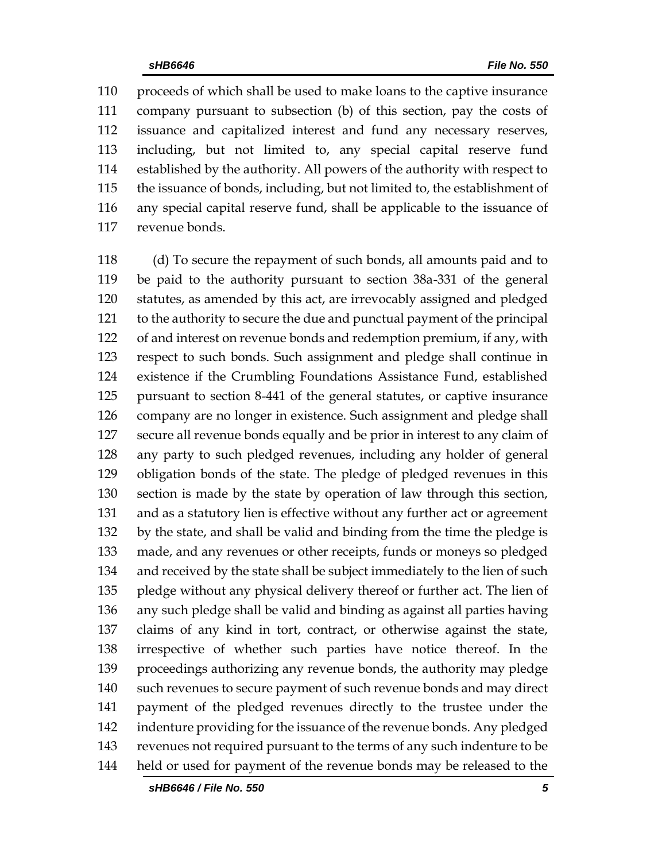proceeds of which shall be used to make loans to the captive insurance company pursuant to subsection (b) of this section, pay the costs of issuance and capitalized interest and fund any necessary reserves, including, but not limited to, any special capital reserve fund established by the authority. All powers of the authority with respect to the issuance of bonds, including, but not limited to, the establishment of any special capital reserve fund, shall be applicable to the issuance of revenue bonds.

 (d) To secure the repayment of such bonds, all amounts paid and to be paid to the authority pursuant to section 38a-331 of the general statutes, as amended by this act, are irrevocably assigned and pledged to the authority to secure the due and punctual payment of the principal of and interest on revenue bonds and redemption premium, if any, with respect to such bonds. Such assignment and pledge shall continue in existence if the Crumbling Foundations Assistance Fund, established pursuant to section 8-441 of the general statutes, or captive insurance company are no longer in existence. Such assignment and pledge shall secure all revenue bonds equally and be prior in interest to any claim of any party to such pledged revenues, including any holder of general obligation bonds of the state. The pledge of pledged revenues in this section is made by the state by operation of law through this section, and as a statutory lien is effective without any further act or agreement by the state, and shall be valid and binding from the time the pledge is made, and any revenues or other receipts, funds or moneys so pledged and received by the state shall be subject immediately to the lien of such pledge without any physical delivery thereof or further act. The lien of any such pledge shall be valid and binding as against all parties having claims of any kind in tort, contract, or otherwise against the state, irrespective of whether such parties have notice thereof. In the proceedings authorizing any revenue bonds, the authority may pledge such revenues to secure payment of such revenue bonds and may direct payment of the pledged revenues directly to the trustee under the indenture providing for the issuance of the revenue bonds. Any pledged revenues not required pursuant to the terms of any such indenture to be held or used for payment of the revenue bonds may be released to the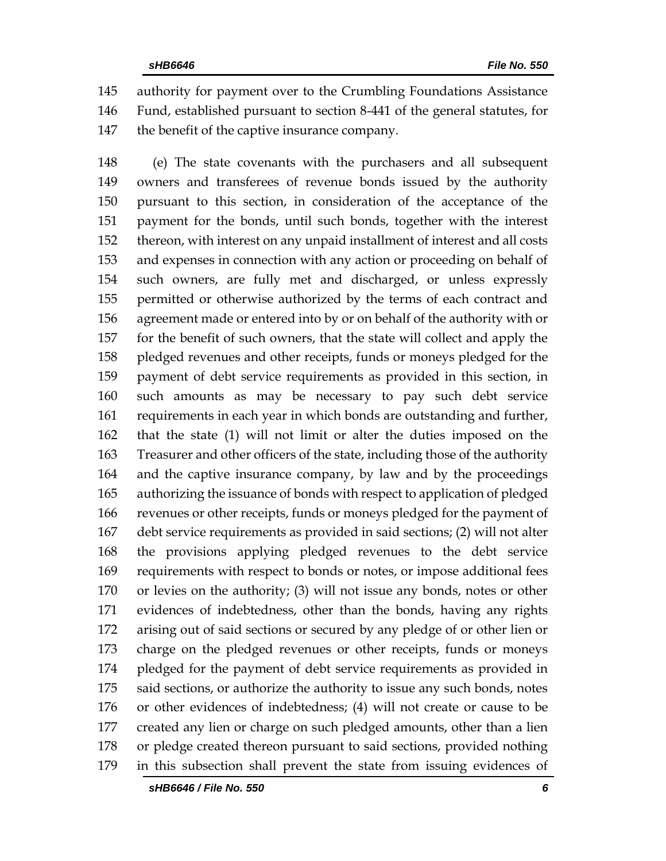authority for payment over to the Crumbling Foundations Assistance Fund, established pursuant to section 8-441 of the general statutes, for the benefit of the captive insurance company.

 (e) The state covenants with the purchasers and all subsequent owners and transferees of revenue bonds issued by the authority pursuant to this section, in consideration of the acceptance of the payment for the bonds, until such bonds, together with the interest thereon, with interest on any unpaid installment of interest and all costs and expenses in connection with any action or proceeding on behalf of such owners, are fully met and discharged, or unless expressly permitted or otherwise authorized by the terms of each contract and agreement made or entered into by or on behalf of the authority with or for the benefit of such owners, that the state will collect and apply the pledged revenues and other receipts, funds or moneys pledged for the payment of debt service requirements as provided in this section, in such amounts as may be necessary to pay such debt service requirements in each year in which bonds are outstanding and further, that the state (1) will not limit or alter the duties imposed on the Treasurer and other officers of the state, including those of the authority and the captive insurance company, by law and by the proceedings authorizing the issuance of bonds with respect to application of pledged revenues or other receipts, funds or moneys pledged for the payment of debt service requirements as provided in said sections; (2) will not alter the provisions applying pledged revenues to the debt service requirements with respect to bonds or notes, or impose additional fees or levies on the authority; (3) will not issue any bonds, notes or other evidences of indebtedness, other than the bonds, having any rights arising out of said sections or secured by any pledge of or other lien or charge on the pledged revenues or other receipts, funds or moneys pledged for the payment of debt service requirements as provided in 175 said sections, or authorize the authority to issue any such bonds, notes or other evidences of indebtedness; (4) will not create or cause to be created any lien or charge on such pledged amounts, other than a lien or pledge created thereon pursuant to said sections, provided nothing in this subsection shall prevent the state from issuing evidences of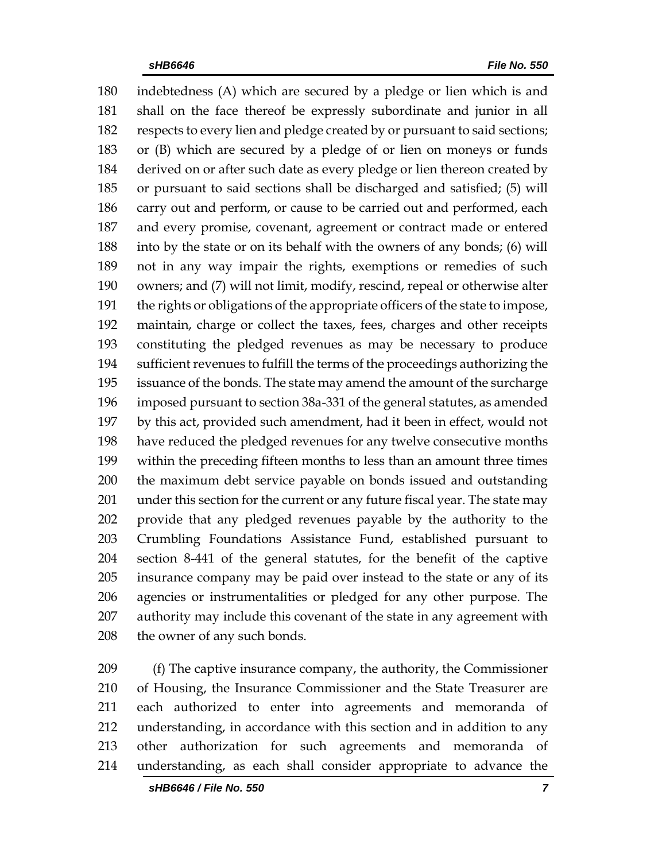indebtedness (A) which are secured by a pledge or lien which is and shall on the face thereof be expressly subordinate and junior in all respects to every lien and pledge created by or pursuant to said sections; or (B) which are secured by a pledge of or lien on moneys or funds derived on or after such date as every pledge or lien thereon created by or pursuant to said sections shall be discharged and satisfied; (5) will carry out and perform, or cause to be carried out and performed, each and every promise, covenant, agreement or contract made or entered into by the state or on its behalf with the owners of any bonds; (6) will not in any way impair the rights, exemptions or remedies of such owners; and (7) will not limit, modify, rescind, repeal or otherwise alter the rights or obligations of the appropriate officers of the state to impose, maintain, charge or collect the taxes, fees, charges and other receipts constituting the pledged revenues as may be necessary to produce sufficient revenues to fulfill the terms of the proceedings authorizing the issuance of the bonds. The state may amend the amount of the surcharge imposed pursuant to section 38a-331 of the general statutes, as amended by this act, provided such amendment, had it been in effect, would not have reduced the pledged revenues for any twelve consecutive months within the preceding fifteen months to less than an amount three times the maximum debt service payable on bonds issued and outstanding under this section for the current or any future fiscal year. The state may provide that any pledged revenues payable by the authority to the Crumbling Foundations Assistance Fund, established pursuant to section 8-441 of the general statutes, for the benefit of the captive insurance company may be paid over instead to the state or any of its agencies or instrumentalities or pledged for any other purpose. The authority may include this covenant of the state in any agreement with 208 the owner of any such bonds.

 (f) The captive insurance company, the authority, the Commissioner of Housing, the Insurance Commissioner and the State Treasurer are each authorized to enter into agreements and memoranda of understanding, in accordance with this section and in addition to any other authorization for such agreements and memoranda of understanding, as each shall consider appropriate to advance the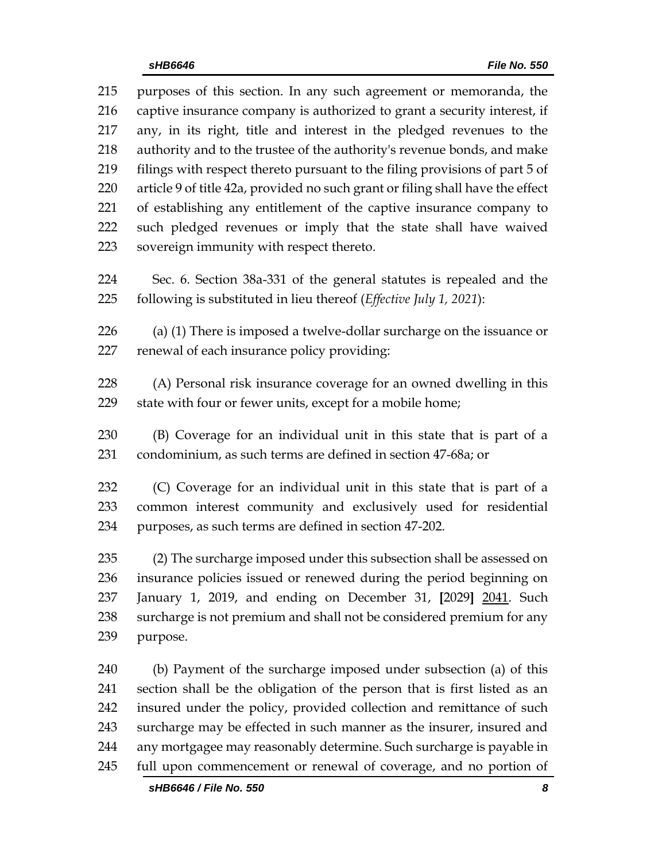purposes of this section. In any such agreement or memoranda, the captive insurance company is authorized to grant a security interest, if any, in its right, title and interest in the pledged revenues to the authority and to the trustee of the authority's revenue bonds, and make filings with respect thereto pursuant to the filing provisions of part 5 of article 9 of title 42a, provided no such grant or filing shall have the effect of establishing any entitlement of the captive insurance company to such pledged revenues or imply that the state shall have waived sovereign immunity with respect thereto.

 Sec. 6. Section 38a-331 of the general statutes is repealed and the following is substituted in lieu thereof (*Effective July 1, 2021*):

 (a) (1) There is imposed a twelve-dollar surcharge on the issuance or renewal of each insurance policy providing:

 (A) Personal risk insurance coverage for an owned dwelling in this state with four or fewer units, except for a mobile home;

 (B) Coverage for an individual unit in this state that is part of a condominium, as such terms are defined in section 47-68a; or

 (C) Coverage for an individual unit in this state that is part of a common interest community and exclusively used for residential purposes, as such terms are defined in section 47-202.

 (2) The surcharge imposed under this subsection shall be assessed on insurance policies issued or renewed during the period beginning on January 1, 2019, and ending on December 31, **[**2029**]** 2041. Such surcharge is not premium and shall not be considered premium for any purpose.

 (b) Payment of the surcharge imposed under subsection (a) of this section shall be the obligation of the person that is first listed as an insured under the policy, provided collection and remittance of such surcharge may be effected in such manner as the insurer, insured and any mortgagee may reasonably determine. Such surcharge is payable in full upon commencement or renewal of coverage, and no portion of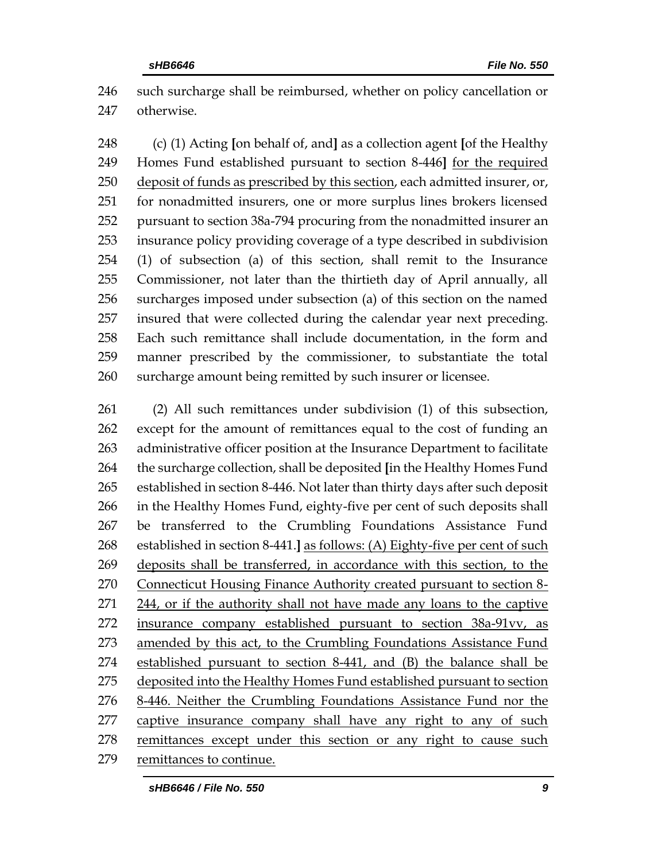such surcharge shall be reimbursed, whether on policy cancellation or otherwise.

 (c) (1) Acting **[**on behalf of, and**]** as a collection agent **[**of the Healthy Homes Fund established pursuant to section 8-446**]** for the required 250 deposit of funds as prescribed by this section, each admitted insurer, or, for nonadmitted insurers, one or more surplus lines brokers licensed pursuant to section 38a-794 procuring from the nonadmitted insurer an insurance policy providing coverage of a type described in subdivision (1) of subsection (a) of this section, shall remit to the Insurance Commissioner, not later than the thirtieth day of April annually, all surcharges imposed under subsection (a) of this section on the named insured that were collected during the calendar year next preceding. Each such remittance shall include documentation, in the form and manner prescribed by the commissioner, to substantiate the total surcharge amount being remitted by such insurer or licensee.

 (2) All such remittances under subdivision (1) of this subsection, except for the amount of remittances equal to the cost of funding an administrative officer position at the Insurance Department to facilitate the surcharge collection, shall be deposited **[**in the Healthy Homes Fund established in section 8-446. Not later than thirty days after such deposit in the Healthy Homes Fund, eighty-five per cent of such deposits shall be transferred to the Crumbling Foundations Assistance Fund established in section 8-441.**]** as follows: (A) Eighty-five per cent of such deposits shall be transferred, in accordance with this section, to the Connecticut Housing Finance Authority created pursuant to section 8- 244, or if the authority shall not have made any loans to the captive insurance company established pursuant to section 38a-91vv, as 273 amended by this act, to the Crumbling Foundations Assistance Fund established pursuant to section 8-441, and (B) the balance shall be deposited into the Healthy Homes Fund established pursuant to section 8-446. Neither the Crumbling Foundations Assistance Fund nor the captive insurance company shall have any right to any of such remittances except under this section or any right to cause such remittances to continue.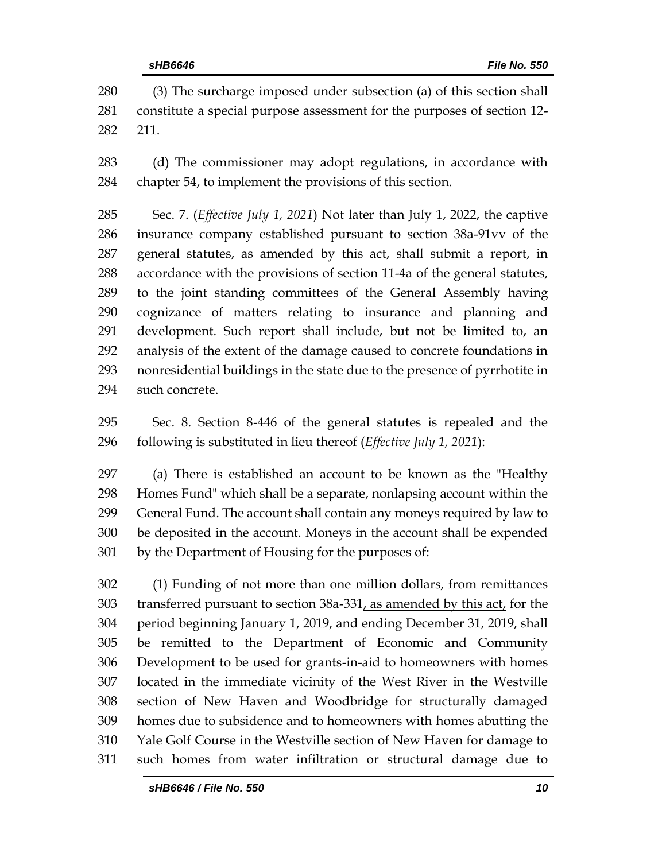(3) The surcharge imposed under subsection (a) of this section shall constitute a special purpose assessment for the purposes of section 12- 211.

 (d) The commissioner may adopt regulations, in accordance with chapter 54, to implement the provisions of this section.

 Sec. 7. (*Effective July 1, 2021*) Not later than July 1, 2022, the captive insurance company established pursuant to section 38a-91vv of the general statutes, as amended by this act, shall submit a report, in accordance with the provisions of section 11-4a of the general statutes, to the joint standing committees of the General Assembly having cognizance of matters relating to insurance and planning and development. Such report shall include, but not be limited to, an analysis of the extent of the damage caused to concrete foundations in nonresidential buildings in the state due to the presence of pyrrhotite in such concrete.

 Sec. 8. Section 8-446 of the general statutes is repealed and the following is substituted in lieu thereof (*Effective July 1, 2021*):

 (a) There is established an account to be known as the "Healthy Homes Fund" which shall be a separate, nonlapsing account within the General Fund. The account shall contain any moneys required by law to be deposited in the account. Moneys in the account shall be expended by the Department of Housing for the purposes of:

 (1) Funding of not more than one million dollars, from remittances transferred pursuant to section 38a-331, as amended by this act, for the period beginning January 1, 2019, and ending December 31, 2019, shall be remitted to the Department of Economic and Community Development to be used for grants-in-aid to homeowners with homes located in the immediate vicinity of the West River in the Westville section of New Haven and Woodbridge for structurally damaged homes due to subsidence and to homeowners with homes abutting the Yale Golf Course in the Westville section of New Haven for damage to such homes from water infiltration or structural damage due to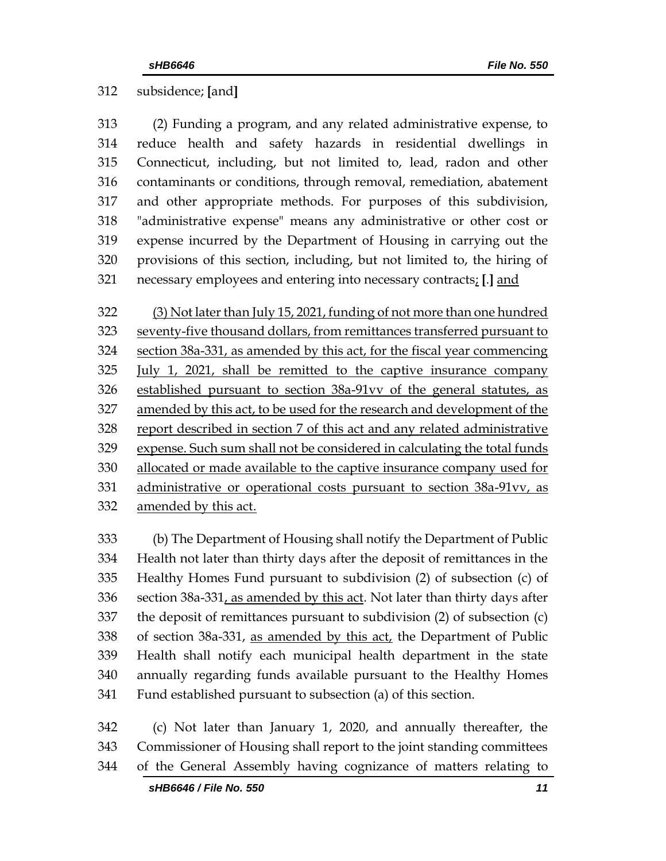subsidence; **[**and**]**

 (2) Funding a program, and any related administrative expense, to reduce health and safety hazards in residential dwellings in Connecticut, including, but not limited to, lead, radon and other contaminants or conditions, through removal, remediation, abatement and other appropriate methods. For purposes of this subdivision, "administrative expense" means any administrative or other cost or expense incurred by the Department of Housing in carrying out the provisions of this section, including, but not limited to, the hiring of necessary employees and entering into necessary contracts; **[**.**]** and

 (3) Not later than July 15, 2021, funding of not more than one hundred seventy-five thousand dollars, from remittances transferred pursuant to section 38a-331, as amended by this act, for the fiscal year commencing July 1, 2021, shall be remitted to the captive insurance company established pursuant to section 38a-91vv of the general statutes, as amended by this act, to be used for the research and development of the report described in section 7 of this act and any related administrative expense. Such sum shall not be considered in calculating the total funds allocated or made available to the captive insurance company used for administrative or operational costs pursuant to section 38a-91vv, as amended by this act.

 (b) The Department of Housing shall notify the Department of Public Health not later than thirty days after the deposit of remittances in the Healthy Homes Fund pursuant to subdivision (2) of subsection (c) of section 38a-331, as amended by this act. Not later than thirty days after the deposit of remittances pursuant to subdivision (2) of subsection (c) of section 38a-331, as amended by this act, the Department of Public Health shall notify each municipal health department in the state annually regarding funds available pursuant to the Healthy Homes Fund established pursuant to subsection (a) of this section.

 (c) Not later than January 1, 2020, and annually thereafter, the Commissioner of Housing shall report to the joint standing committees of the General Assembly having cognizance of matters relating to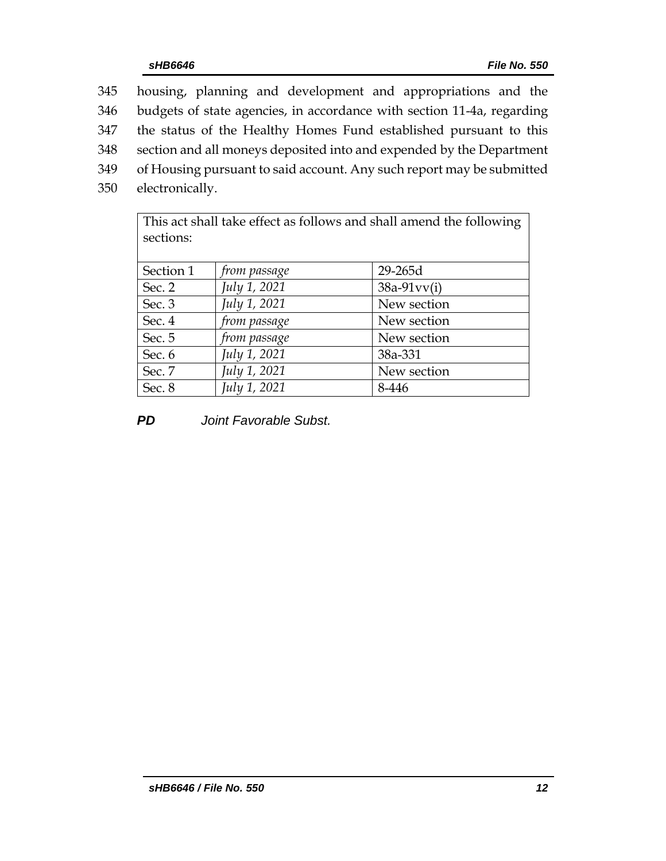| 345 | housing, planning and development and appropriations and the           |
|-----|------------------------------------------------------------------------|
| 346 | budgets of state agencies, in accordance with section 11-4a, regarding |
| 347 | the status of the Healthy Homes Fund established pursuant to this      |
| 348 | section and all moneys deposited into and expended by the Department   |
| 349 | of Housing pursuant to said account. Any such report may be submitted  |
| 350 | electronically.                                                        |
|     |                                                                        |

This act shall take effect as follows and shall amend the following sections: Section 1 *from passage* 29-265d Sec. 2 *July 1, 2021* 38a-91vv(i)

| Sec. 2 | July 1, 2021 | $38a-91vv(i)$ |
|--------|--------------|---------------|
| Sec. 3 | July 1, 2021 | New section   |
| Sec. 4 | from passage | New section   |
| Sec. 5 | from passage | New section   |
| Sec. 6 | July 1, 2021 | 38a-331       |
| Sec. 7 | July 1, 2021 | New section   |
| Sec. 8 | July 1, 2021 | 8-446         |

*PD Joint Favorable Subst.*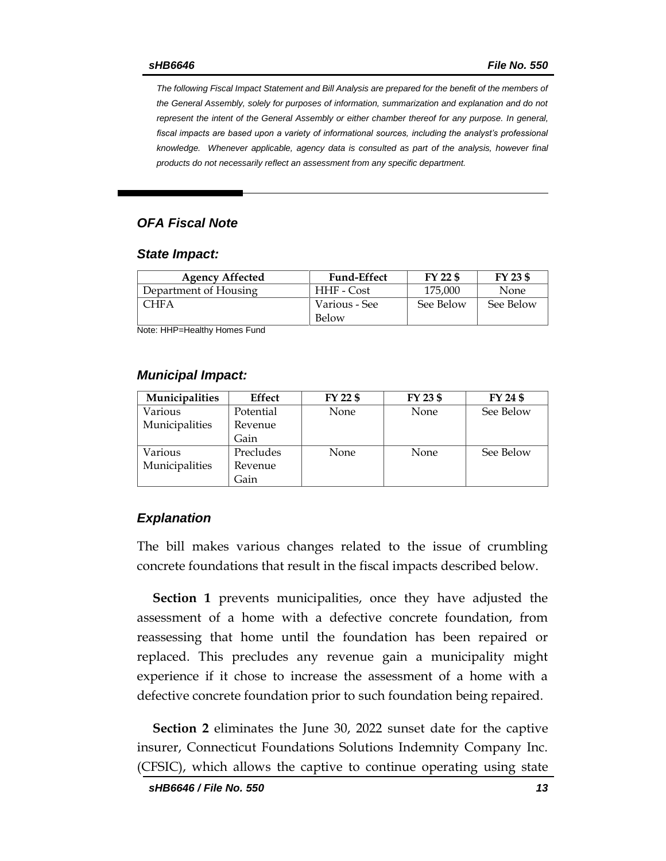*The following Fiscal Impact Statement and Bill Analysis are prepared for the benefit of the members of the General Assembly, solely for purposes of information, summarization and explanation and do not represent the intent of the General Assembly or either chamber thereof for any purpose. In general,*  fiscal impacts are based upon a variety of informational sources, including the analyst's professional *knowledge. Whenever applicable, agency data is consulted as part of the analysis, however final products do not necessarily reflect an assessment from any specific department.*

#### *OFA Fiscal Note*

#### *State Impact:*

| <b>Agency Affected</b> | <b>Fund-Effect</b> | $FY$ 22 $$$ | FY 23 \$  |
|------------------------|--------------------|-------------|-----------|
| Department of Housing  | HHF - Cost         | 175,000     | None      |
| CHFA                   | Various - See      | See Below   | See Below |
|                        | Below              |             |           |

Note: HHP=Healthy Homes Fund

#### *Municipal Impact:*

| <b>Municipalities</b> | Effect    | FY 22 \$    | FY 23 \$ | FY 24 \$  |
|-----------------------|-----------|-------------|----------|-----------|
| Various               | Potential | <b>None</b> | None     | See Below |
| Municipalities        | Revenue   |             |          |           |
|                       | Gain      |             |          |           |
| Various               | Precludes | <b>None</b> | None     | See Below |
| Municipalities        | Revenue   |             |          |           |
|                       | Gain      |             |          |           |

#### *Explanation*

The bill makes various changes related to the issue of crumbling concrete foundations that result in the fiscal impacts described below.

**Section 1** prevents municipalities, once they have adjusted the assessment of a home with a defective concrete foundation, from reassessing that home until the foundation has been repaired or replaced. This precludes any revenue gain a municipality might experience if it chose to increase the assessment of a home with a defective concrete foundation prior to such foundation being repaired.

**Section 2** eliminates the June 30, 2022 sunset date for the captive insurer, Connecticut Foundations Solutions Indemnity Company Inc. (CFSIC), which allows the captive to continue operating using state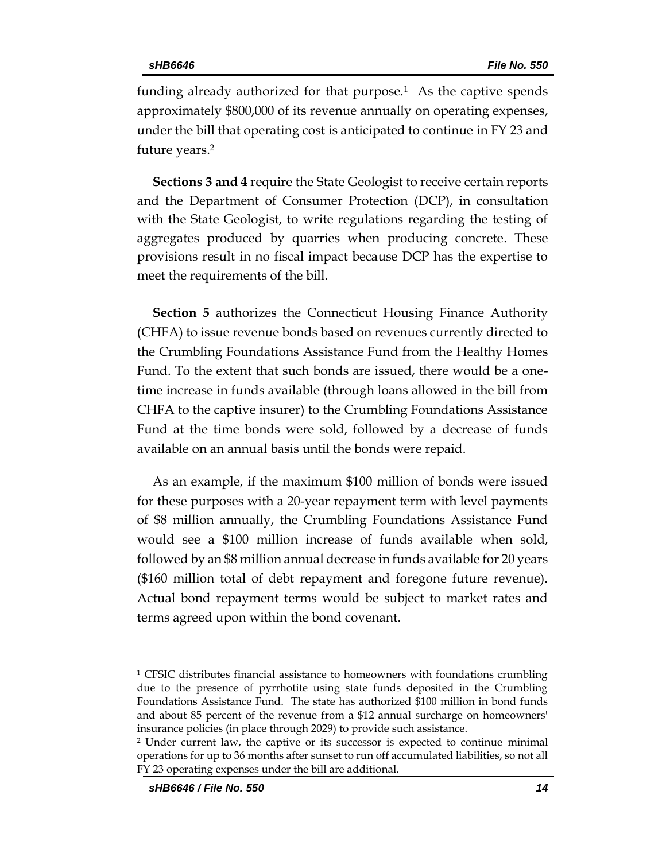funding already authorized for that purpose.<sup>1</sup> As the captive spends approximately \$800,000 of its revenue annually on operating expenses, under the bill that operating cost is anticipated to continue in FY 23 and future years. 2

**Sections 3 and 4** require the State Geologist to receive certain reports and the Department of Consumer Protection (DCP), in consultation with the State Geologist, to write regulations regarding the testing of aggregates produced by quarries when producing concrete. These provisions result in no fiscal impact because DCP has the expertise to meet the requirements of the bill.

**Section 5** authorizes the Connecticut Housing Finance Authority (CHFA) to issue revenue bonds based on revenues currently directed to the Crumbling Foundations Assistance Fund from the Healthy Homes Fund. To the extent that such bonds are issued, there would be a onetime increase in funds available (through loans allowed in the bill from CHFA to the captive insurer) to the Crumbling Foundations Assistance Fund at the time bonds were sold, followed by a decrease of funds available on an annual basis until the bonds were repaid.

As an example, if the maximum \$100 million of bonds were issued for these purposes with a 20-year repayment term with level payments of \$8 million annually, the Crumbling Foundations Assistance Fund would see a \$100 million increase of funds available when sold, followed by an \$8 million annual decrease in funds available for 20 years (\$160 million total of debt repayment and foregone future revenue). Actual bond repayment terms would be subject to market rates and terms agreed upon within the bond covenant.

 $\overline{a}$ 

<sup>&</sup>lt;sup>1</sup> CFSIC distributes financial assistance to homeowners with foundations crumbling due to the presence of pyrrhotite using state funds deposited in the Crumbling Foundations Assistance Fund. The state has authorized \$100 million in bond funds and about 85 percent of the revenue from a \$12 annual surcharge on homeowners' insurance policies (in place through 2029) to provide such assistance.

<sup>2</sup> Under current law, the captive or its successor is expected to continue minimal operations for up to 36 months after sunset to run off accumulated liabilities, so not all FY 23 operating expenses under the bill are additional.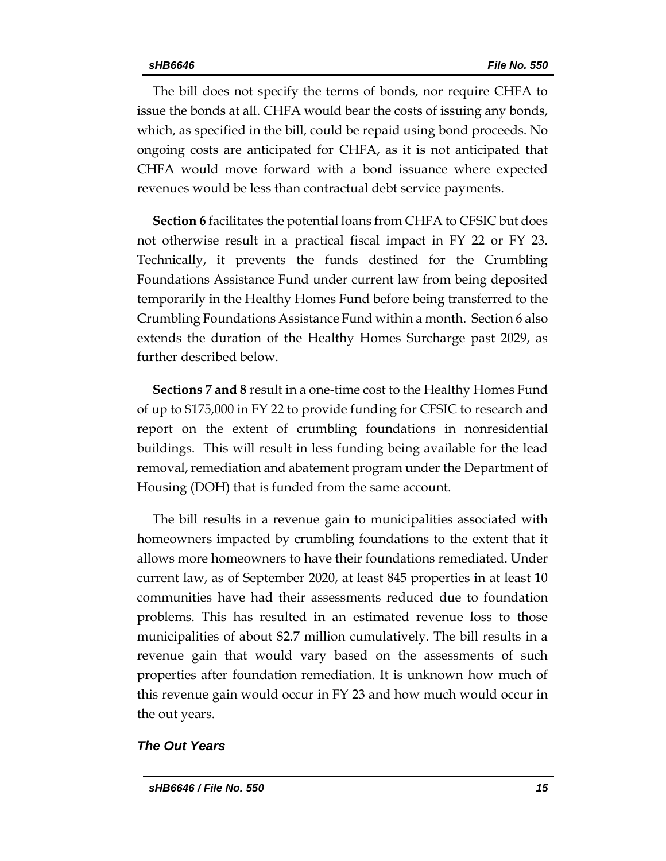The bill does not specify the terms of bonds, nor require CHFA to issue the bonds at all. CHFA would bear the costs of issuing any bonds, which, as specified in the bill, could be repaid using bond proceeds. No ongoing costs are anticipated for CHFA, as it is not anticipated that CHFA would move forward with a bond issuance where expected revenues would be less than contractual debt service payments.

**Section 6** facilitates the potential loans from CHFA to CFSIC but does not otherwise result in a practical fiscal impact in FY 22 or FY 23. Technically, it prevents the funds destined for the Crumbling Foundations Assistance Fund under current law from being deposited temporarily in the Healthy Homes Fund before being transferred to the Crumbling Foundations Assistance Fund within a month. Section 6 also extends the duration of the Healthy Homes Surcharge past 2029, as further described below.

**Sections 7 and 8** result in a one-time cost to the Healthy Homes Fund of up to \$175,000 in FY 22 to provide funding for CFSIC to research and report on the extent of crumbling foundations in nonresidential buildings. This will result in less funding being available for the lead removal, remediation and abatement program under the Department of Housing (DOH) that is funded from the same account.

The bill results in a revenue gain to municipalities associated with homeowners impacted by crumbling foundations to the extent that it allows more homeowners to have their foundations remediated. Under current law, as of September 2020, at least 845 properties in at least 10 communities have had their assessments reduced due to foundation problems. This has resulted in an estimated revenue loss to those municipalities of about \$2.7 million cumulatively. The bill results in a revenue gain that would vary based on the assessments of such properties after foundation remediation. It is unknown how much of this revenue gain would occur in FY 23 and how much would occur in the out years.

#### *The Out Years*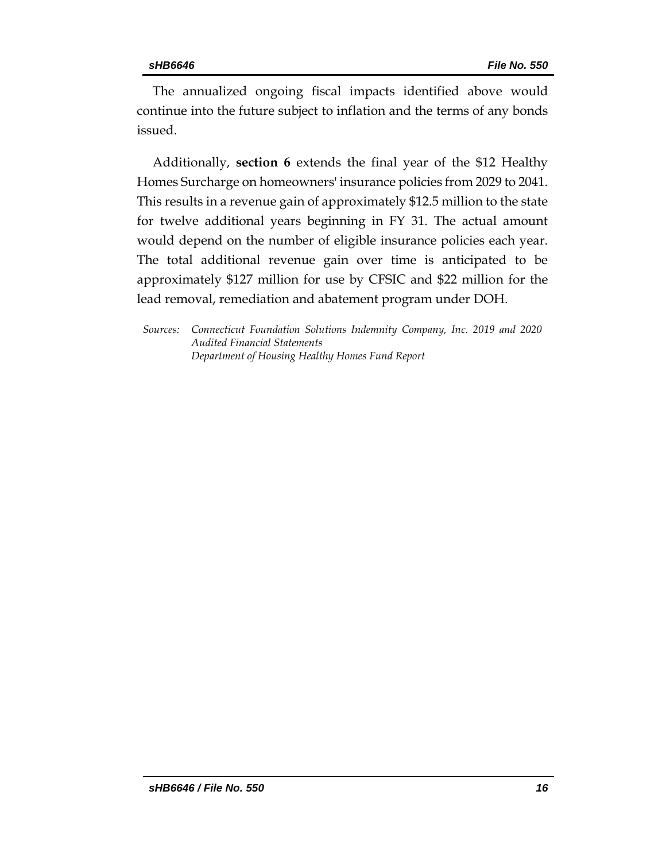The annualized ongoing fiscal impacts identified above would continue into the future subject to inflation and the terms of any bonds issued.

Additionally, **section 6** extends the final year of the \$12 Healthy Homes Surcharge on homeowners' insurance policies from 2029 to 2041. This results in a revenue gain of approximately \$12.5 million to the state for twelve additional years beginning in FY 31. The actual amount would depend on the number of eligible insurance policies each year. The total additional revenue gain over time is anticipated to be approximately \$127 million for use by CFSIC and \$22 million for the lead removal, remediation and abatement program under DOH.

*Sources: Connecticut Foundation Solutions Indemnity Company, Inc. 2019 and 2020 Audited Financial Statements Department of Housing Healthy Homes Fund Report*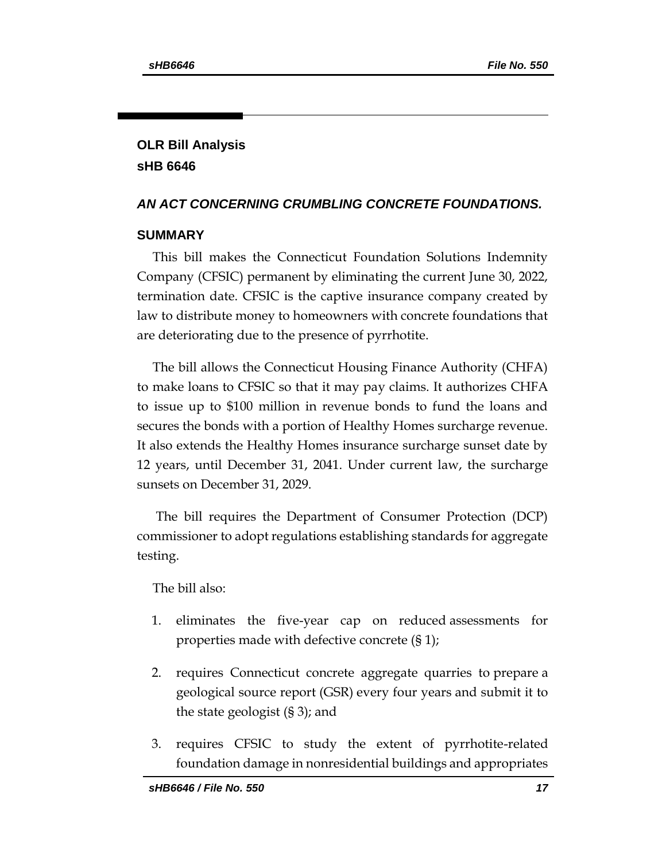# **OLR Bill Analysis sHB 6646**

#### *AN ACT CONCERNING CRUMBLING CONCRETE FOUNDATIONS.*

#### **SUMMARY**

This bill makes the Connecticut Foundation Solutions Indemnity Company (CFSIC) permanent by eliminating the current June 30, 2022, termination date. CFSIC is the captive insurance company created by law to distribute money to homeowners with concrete foundations that are deteriorating due to the presence of pyrrhotite.

The bill allows the Connecticut Housing Finance Authority (CHFA) to make loans to CFSIC so that it may pay claims. It authorizes CHFA to issue up to \$100 million in revenue bonds to fund the loans and secures the bonds with a portion of Healthy Homes surcharge revenue. It also extends the Healthy Homes insurance surcharge sunset date by 12 years, until December 31, 2041. Under current law, the surcharge sunsets on December 31, 2029.

The bill requires the Department of Consumer Protection (DCP) commissioner to adopt regulations establishing standards for aggregate testing.

The bill also:

- 1. eliminates the five-year cap on reduced assessments for properties made with defective concrete (§ 1);
- 2. requires Connecticut concrete aggregate quarries to prepare a geological source report (GSR) every four years and submit it to the state geologist (§ 3); and
- 3. requires CFSIC to study the extent of pyrrhotite-related foundation damage in nonresidential buildings and appropriates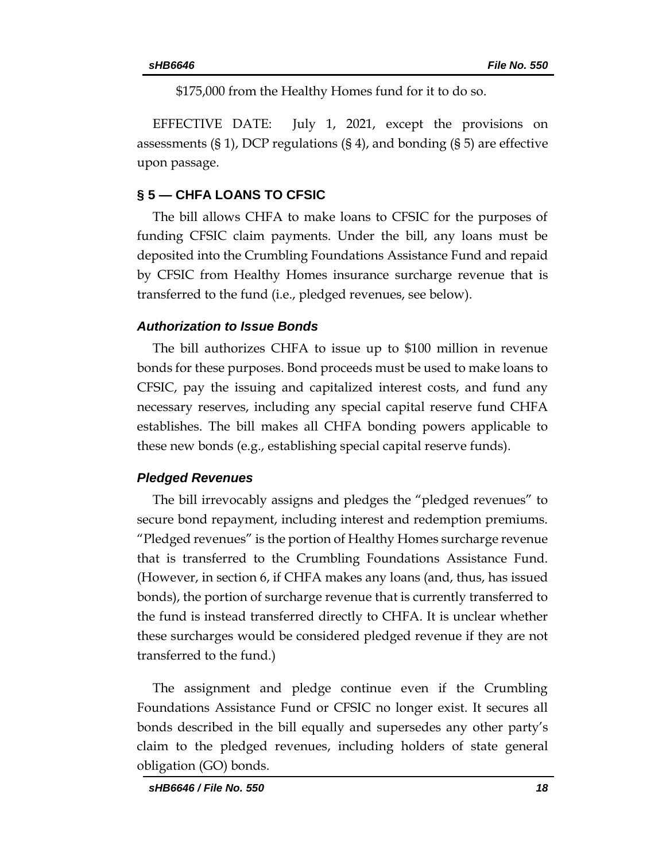\$175,000 from the Healthy Homes fund for it to do so.

EFFECTIVE DATE: July 1, 2021, except the provisions on assessments  $(\S 1)$ , DCP regulations  $(\S 4)$ , and bonding  $(\S 5)$  are effective upon passage.

### **§ 5 — CHFA LOANS TO CFSIC**

The bill allows CHFA to make loans to CFSIC for the purposes of funding CFSIC claim payments. Under the bill, any loans must be deposited into the Crumbling Foundations Assistance Fund and repaid by CFSIC from Healthy Homes insurance surcharge revenue that is transferred to the fund (i.e., pledged revenues, see below).

#### *Authorization to Issue Bonds*

The bill authorizes CHFA to issue up to \$100 million in revenue bonds for these purposes. Bond proceeds must be used to make loans to CFSIC, pay the issuing and capitalized interest costs, and fund any necessary reserves, including any special capital reserve fund CHFA establishes. The bill makes all CHFA bonding powers applicable to these new bonds (e.g., establishing special capital reserve funds).

## *Pledged Revenues*

The bill irrevocably assigns and pledges the "pledged revenues" to secure bond repayment, including interest and redemption premiums. "Pledged revenues" is the portion of Healthy Homes surcharge revenue that is transferred to the Crumbling Foundations Assistance Fund. (However, in section 6, if CHFA makes any loans (and, thus, has issued bonds), the portion of surcharge revenue that is currently transferred to the fund is instead transferred directly to CHFA. It is unclear whether these surcharges would be considered pledged revenue if they are not transferred to the fund.)

The assignment and pledge continue even if the Crumbling Foundations Assistance Fund or CFSIC no longer exist. It secures all bonds described in the bill equally and supersedes any other party's claim to the pledged revenues, including holders of state general obligation (GO) bonds.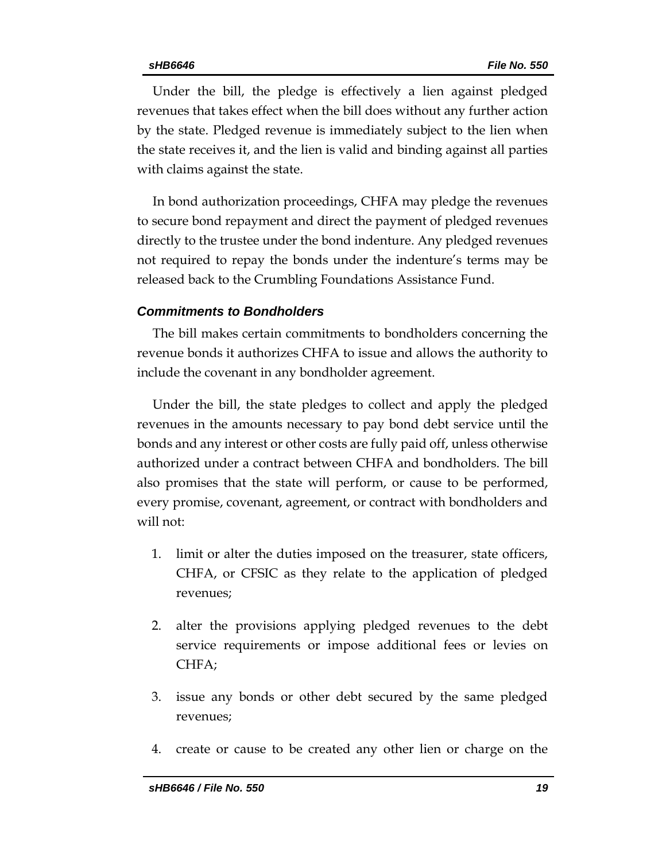Under the bill, the pledge is effectively a lien against pledged revenues that takes effect when the bill does without any further action by the state. Pledged revenue is immediately subject to the lien when the state receives it, and the lien is valid and binding against all parties with claims against the state.

In bond authorization proceedings, CHFA may pledge the revenues to secure bond repayment and direct the payment of pledged revenues directly to the trustee under the bond indenture. Any pledged revenues not required to repay the bonds under the indenture's terms may be released back to the Crumbling Foundations Assistance Fund.

#### *Commitments to Bondholders*

The bill makes certain commitments to bondholders concerning the revenue bonds it authorizes CHFA to issue and allows the authority to include the covenant in any bondholder agreement.

Under the bill, the state pledges to collect and apply the pledged revenues in the amounts necessary to pay bond debt service until the bonds and any interest or other costs are fully paid off, unless otherwise authorized under a contract between CHFA and bondholders. The bill also promises that the state will perform, or cause to be performed, every promise, covenant, agreement, or contract with bondholders and will not:

- 1. limit or alter the duties imposed on the treasurer, state officers, CHFA, or CFSIC as they relate to the application of pledged revenues;
- 2. alter the provisions applying pledged revenues to the debt service requirements or impose additional fees or levies on CHFA;
- 3. issue any bonds or other debt secured by the same pledged revenues;
- 4. create or cause to be created any other lien or charge on the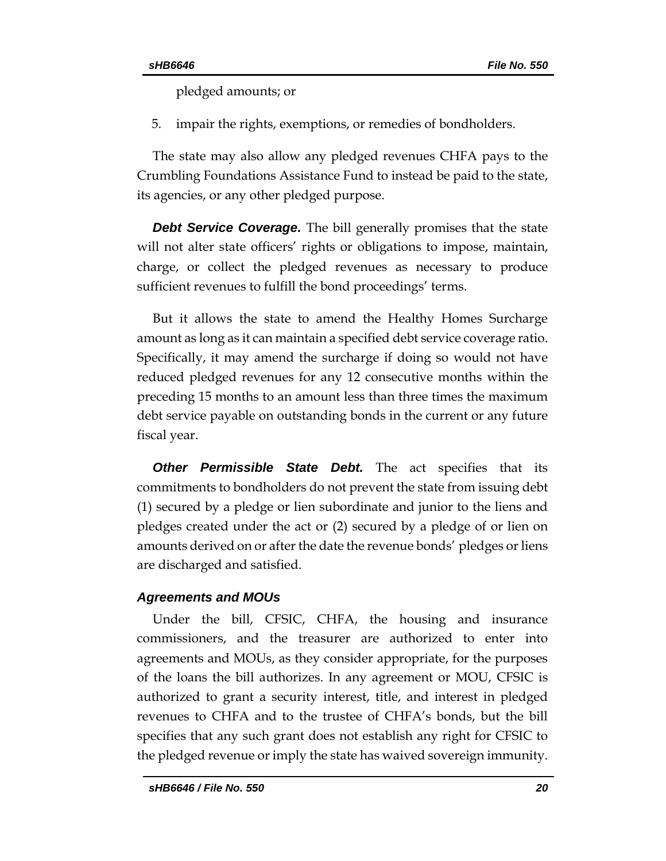pledged amounts; or

5. impair the rights, exemptions, or remedies of bondholders.

The state may also allow any pledged revenues CHFA pays to the Crumbling Foundations Assistance Fund to instead be paid to the state, its agencies, or any other pledged purpose.

*Debt Service Coverage.* The bill generally promises that the state will not alter state officers' rights or obligations to impose, maintain, charge, or collect the pledged revenues as necessary to produce sufficient revenues to fulfill the bond proceedings' terms.

But it allows the state to amend the Healthy Homes Surcharge amount as long as it can maintain a specified debt service coverage ratio. Specifically, it may amend the surcharge if doing so would not have reduced pledged revenues for any 12 consecutive months within the preceding 15 months to an amount less than three times the maximum debt service payable on outstanding bonds in the current or any future fiscal year.

*Other Permissible State Debt.* The act specifies that its commitments to bondholders do not prevent the state from issuing debt (1) secured by a pledge or lien subordinate and junior to the liens and pledges created under the act or (2) secured by a pledge of or lien on amounts derived on or after the date the revenue bonds' pledges or liens are discharged and satisfied.

#### *Agreements and MOUs*

Under the bill, CFSIC, CHFA, the housing and insurance commissioners, and the treasurer are authorized to enter into agreements and MOUs, as they consider appropriate, for the purposes of the loans the bill authorizes. In any agreement or MOU, CFSIC is authorized to grant a security interest, title, and interest in pledged revenues to CHFA and to the trustee of CHFA's bonds, but the bill specifies that any such grant does not establish any right for CFSIC to the pledged revenue or imply the state has waived sovereign immunity.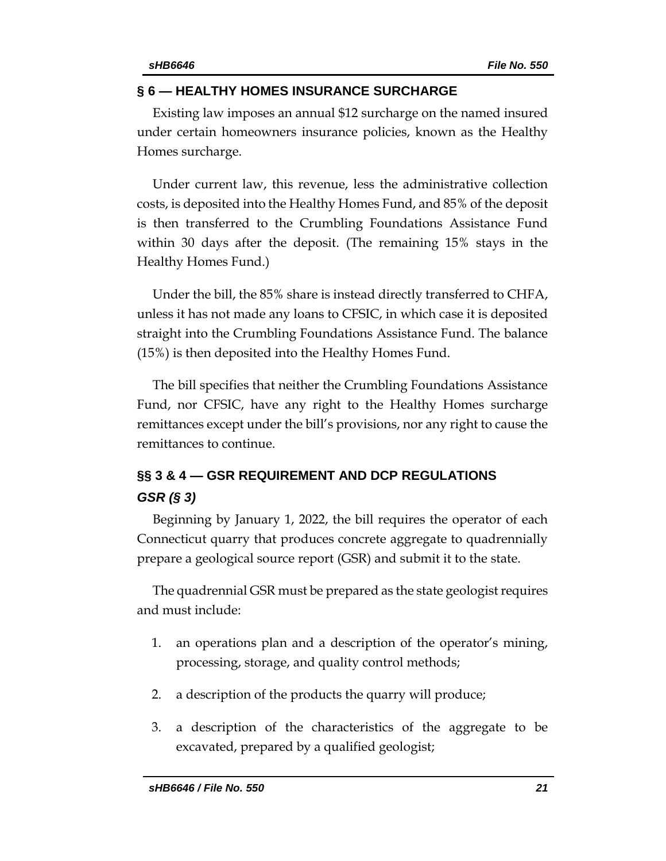#### **§ 6 — HEALTHY HOMES INSURANCE SURCHARGE**

Existing law imposes an annual \$12 surcharge on the named insured under certain homeowners insurance policies, known as the Healthy Homes surcharge.

Under current law, this revenue, less the administrative collection costs, is deposited into the Healthy Homes Fund, and 85% of the deposit is then transferred to the Crumbling Foundations Assistance Fund within 30 days after the deposit. (The remaining 15% stays in the Healthy Homes Fund.)

Under the bill, the 85% share is instead directly transferred to CHFA, unless it has not made any loans to CFSIC, in which case it is deposited straight into the Crumbling Foundations Assistance Fund. The balance (15%) is then deposited into the Healthy Homes Fund.

The bill specifies that neither the Crumbling Foundations Assistance Fund, nor CFSIC, have any right to the Healthy Homes surcharge remittances except under the bill's provisions, nor any right to cause the remittances to continue.

# **§§ 3 & 4 — GSR REQUIREMENT AND DCP REGULATIONS** *GSR (§ 3)*

Beginning by January 1, 2022, the bill requires the operator of each Connecticut quarry that produces concrete aggregate to quadrennially prepare a geological source report (GSR) and submit it to the state.

The quadrennial GSR must be prepared as the state geologist requires and must include:

- 1. an operations plan and a description of the operator's mining, processing, storage, and quality control methods;
- 2. a description of the products the quarry will produce;
- 3. a description of the characteristics of the aggregate to be excavated, prepared by a qualified geologist;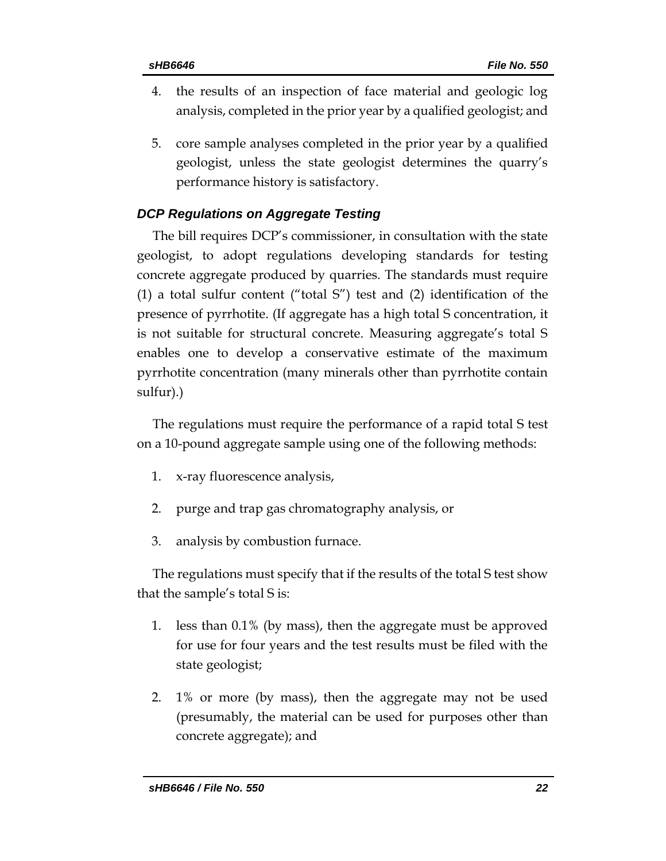- 4. the results of an inspection of face material and geologic log analysis, completed in the prior year by a qualified geologist; and
- 5. core sample analyses completed in the prior year by a qualified geologist, unless the state geologist determines the quarry's performance history is satisfactory.

## *DCP Regulations on Aggregate Testing*

The bill requires DCP's commissioner, in consultation with the state geologist, to adopt regulations developing standards for testing concrete aggregate produced by quarries. The standards must require (1) a total sulfur content ("total S") test and (2) identification of the presence of pyrrhotite. (If aggregate has a high total S concentration, it is not suitable for structural concrete. Measuring aggregate's total S enables one to develop a conservative estimate of the maximum pyrrhotite concentration (many minerals other than pyrrhotite contain sulfur).)

The regulations must require the performance of a rapid total S test on a 10-pound aggregate sample using one of the following methods:

- 1. x-ray fluorescence analysis,
- 2. purge and trap gas chromatography analysis, or
- 3. analysis by combustion furnace.

The regulations must specify that if the results of the total S test show that the sample's total S is:

- 1. less than 0.1% (by mass), then the aggregate must be approved for use for four years and the test results must be filed with the state geologist;
- 2. 1% or more (by mass), then the aggregate may not be used (presumably, the material can be used for purposes other than concrete aggregate); and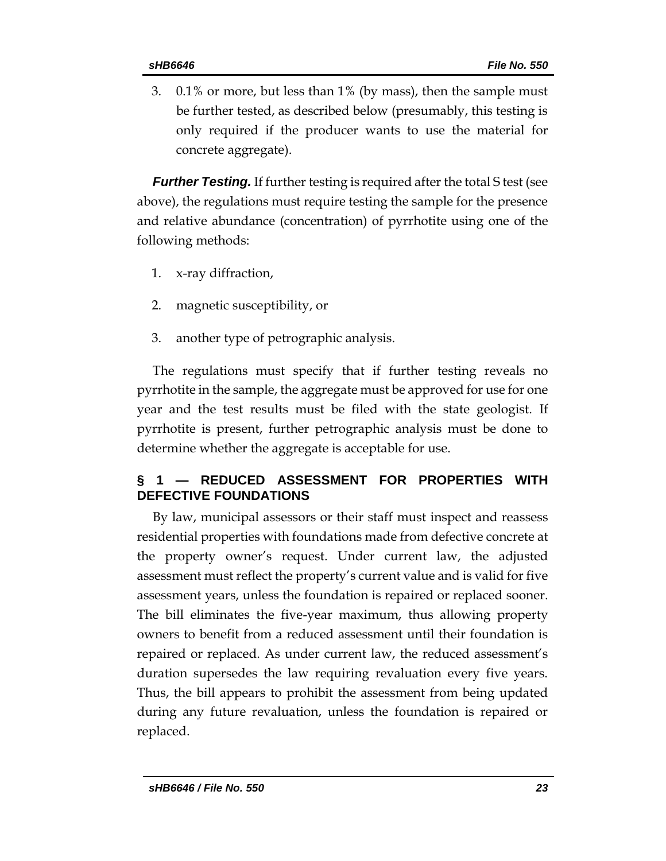3. 0.1% or more, but less than 1% (by mass), then the sample must be further tested, as described below (presumably, this testing is only required if the producer wants to use the material for concrete aggregate).

*Further Testing.* If further testing is required after the total S test (see above), the regulations must require testing the sample for the presence and relative abundance (concentration) of pyrrhotite using one of the following methods:

- 1. x-ray diffraction,
- 2. magnetic susceptibility, or
- 3. another type of petrographic analysis.

The regulations must specify that if further testing reveals no pyrrhotite in the sample, the aggregate must be approved for use for one year and the test results must be filed with the state geologist. If pyrrhotite is present, further petrographic analysis must be done to determine whether the aggregate is acceptable for use.

## **§ 1 — REDUCED ASSESSMENT FOR PROPERTIES WITH DEFECTIVE FOUNDATIONS**

By law, municipal assessors or their staff must inspect and reassess residential properties with foundations made from defective concrete at the property owner's request. Under current law, the adjusted assessment must reflect the property's current value and is valid for five assessment years, unless the foundation is repaired or replaced sooner. The bill eliminates the five-year maximum, thus allowing property owners to benefit from a reduced assessment until their foundation is repaired or replaced. As under current law, the reduced assessment's duration supersedes the law requiring revaluation every five years. Thus, the bill appears to prohibit the assessment from being updated during any future revaluation, unless the foundation is repaired or replaced.